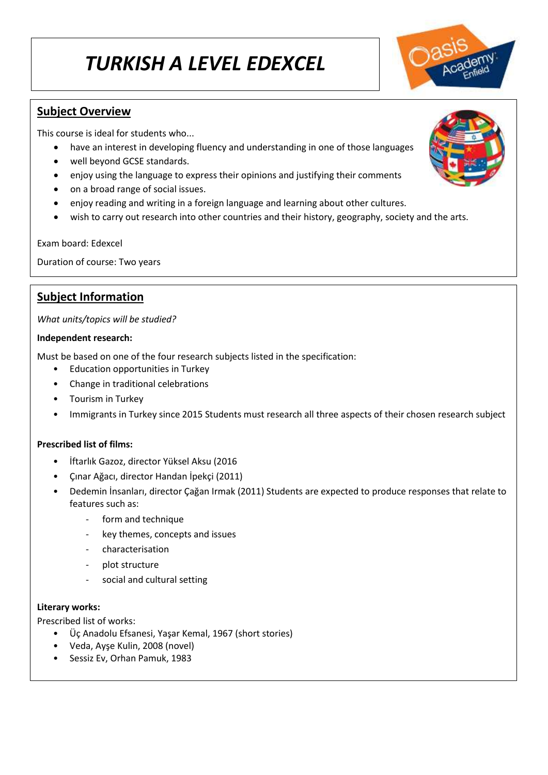# *TURKISH A LEVEL EDEXCEL*

## **Subject Overview**

This course is ideal for students who...

- have an interest in developing fluency and understanding in one of those languages
- well beyond GCSE standards.
- enjoy using the language to express their opinions and justifying their comments
- on a broad range of social issues.
- enjoy reading and writing in a foreign language and learning about other cultures.
- wish to carry out research into other countries and their history, geography, society and the arts.

Exam board: Edexcel

Duration of course: Two years

## **Subject Information**

*What units/topics will be studied?*

#### **Independent research:**

Must be based on one of the four research subjects listed in the specification:

- Education opportunities in Turkey
- Change in traditional celebrations
- Tourism in Turkey
- Immigrants in Turkey since 2015 Students must research all three aspects of their chosen research subject

### **Prescribed list of films:**

- İftarlık Gazoz, director Yüksel Aksu (2016
- Çınar Ağacı, director Handan İpekçi (2011)
- Dedemin İnsanları, director Çağan Irmak (2011) Students are expected to produce responses that relate to features such as:
	- form and technique
	- key themes, concepts and issues
	- characterisation
	- plot structure
	- social and cultural setting

#### **Literary works:**

Prescribed list of works:

- Üç Anadolu Efsanesi, Yaşar Kemal, 1967 (short stories)
- Veda, Ayşe Kulin, 2008 (novel)
- Sessiz Ev, Orhan Pamuk, 1983